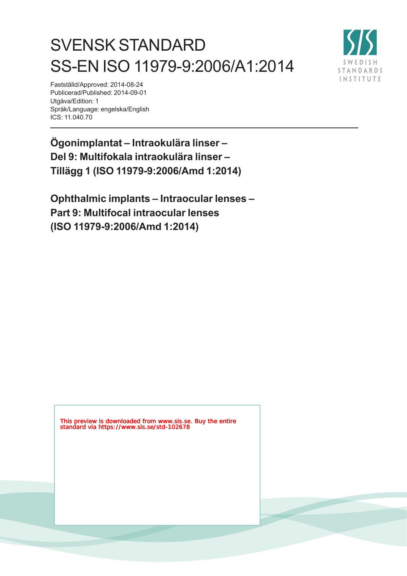# SVENSK STANDARD SS-EN ISO 11979-9:2006/A1:2014



Fastställd/Approved: 2014-08-24 Publicerad/Published: 2014-09-01 Utgåva/Edition: 1 Språk/Language: engelska/English ICS: 11.040.70

**Ögonimplantat – Intraokulära linser – Del 9: Multifokala intraokulära linser – Tillägg 1 (ISO 11979-9:2006/Amd 1:2014)**

**Ophthalmic implants – Intraocular lenses – Part 9: Multifocal intraocular lenses (ISO 11979-9:2006/Amd 1:2014)**

This preview is downloaded from www.sis.se. Buy the entire standard via https://www.sis.se/std-102678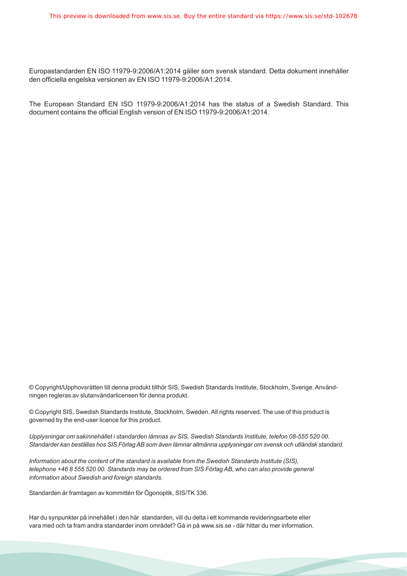Europastandarden EN ISO 11979-9:2006/A1:2014 gäller som svensk standard. Detta dokument innehåller den officiella engelska versionen av EN ISO 11979-9:2006/A1:2014.

The European Standard EN ISO 11979-9:2006/A1:2014 has the status of a Swedish Standard. This document contains the official English version of EN ISO 11979-9:2006/A1:2014.

© Copyright/Upphovsrätten till denna produkt tillhör SIS, Swedish Standards Institute, Stockholm, Sverige. Användningen regleras av slutanvändarlicensen för denna produkt.

© Copyright SIS, Swedish Standards Institute, Stockholm, Sweden. All rights reserved. The use of this product is governed by the end-user licence for this product.

*Upplysningar om sakinnehållet i standarden lämnas av SIS, Swedish Standards Institute, telefon 08-555 520 00. Standarder kan beställas hos SIS Förlag AB som även lämnar allmänna upplysningar om svensk och utländsk standard.*

*Information about the content of the standard is available from the Swedish Standards Institute (SIS), telephone +46 8 555 520 00. Standards may be ordered from SIS Förlag AB, who can also provide general information about Swedish and foreign standards.*

Standarden är framtagen av kommittén för Ögonoptik, SIS/TK 336.

Har du synpunkter på innehållet i den här standarden, vill du delta i ett kommande revideringsarbete eller vara med och ta fram andra standarder inom området? Gå in på www.sis.se - där hittar du mer information.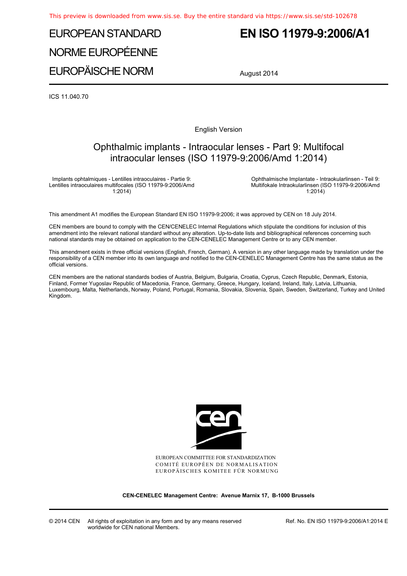## EUROPEAN STANDARD NORME EUROPÉENNE EUROPÄISCHE NORM

### **EN ISO 11979-9:2006/A1**

August 2014

ICS 11.040.70

English Version

### Ophthalmic implants - Intraocular lenses - Part 9: Multifocal intraocular lenses (ISO 11979-9:2006/Amd 1:2014)

Implants ophtalmiques - Lentilles intraoculaires - Partie 9: Lentilles intraoculaires multifocales (ISO 11979-9:2006/Amd 1:2014)

 Ophthalmische Implantate - Intraokularlinsen - Teil 9: Multifokale Intraokularlinsen (ISO 11979-9:2006/Amd 1:2014)

This amendment A1 modifies the European Standard EN ISO 11979-9:2006; it was approved by CEN on 18 July 2014.

CEN members are bound to comply with the CEN/CENELEC Internal Regulations which stipulate the conditions for inclusion of this amendment into the relevant national standard without any alteration. Up-to-date lists and bibliographical references concerning such national standards may be obtained on application to the CEN-CENELEC Management Centre or to any CEN member.

This amendment exists in three official versions (English, French, German). A version in any other language made by translation under the responsibility of a CEN member into its own language and notified to the CEN-CENELEC Management Centre has the same status as the official versions.

CEN members are the national standards bodies of Austria, Belgium, Bulgaria, Croatia, Cyprus, Czech Republic, Denmark, Estonia, Finland, Former Yugoslav Republic of Macedonia, France, Germany, Greece, Hungary, Iceland, Ireland, Italy, Latvia, Lithuania, Luxembourg, Malta, Netherlands, Norway, Poland, Portugal, Romania, Slovakia, Slovenia, Spain, Sweden, Switzerland, Turkey and United Kingdom.



EUROPEAN COMMITTEE FOR STANDARDIZATION COMITÉ EUROPÉEN DE NORMALISATION EUROPÄISCHES KOMITEE FÜR NORMUNG

**CEN-CENELEC Management Centre: Avenue Marnix 17, B-1000 Brussels** 

Ref. No. EN ISO 11979-9:2006/A1:2014 E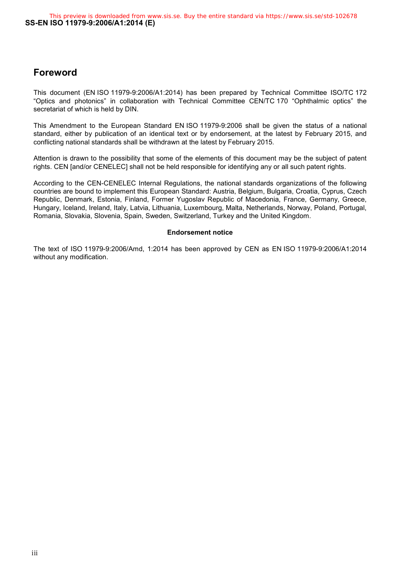#### **Foreword**

This document (EN ISO 11979-9:2006/A1:2014) has been prepared by Technical Committee ISO/TC 172 "Optics and photonics" in collaboration with Technical Committee CEN/TC 170 "Ophthalmic optics" the secretariat of which is held by DIN.

This Amendment to the European Standard EN ISO 11979-9:2006 shall be given the status of a national standard, either by publication of an identical text or by endorsement, at the latest by February 2015, and conflicting national standards shall be withdrawn at the latest by February 2015.

Attention is drawn to the possibility that some of the elements of this document may be the subject of patent rights. CEN [and/or CENELEC] shall not be held responsible for identifying any or all such patent rights.

According to the CEN-CENELEC Internal Regulations, the national standards organizations of the following countries are bound to implement this European Standard: Austria, Belgium, Bulgaria, Croatia, Cyprus, Czech Republic, Denmark, Estonia, Finland, Former Yugoslav Republic of Macedonia, France, Germany, Greece, Hungary, Iceland, Ireland, Italy, Latvia, Lithuania, Luxembourg, Malta, Netherlands, Norway, Poland, Portugal, Romania, Slovakia, Slovenia, Spain, Sweden, Switzerland, Turkey and the United Kingdom.

#### **Endorsement notice**

The text of ISO 11979-9:2006/Amd, 1:2014 has been approved by CEN as EN ISO 11979-9:2006/A1:2014 without any modification.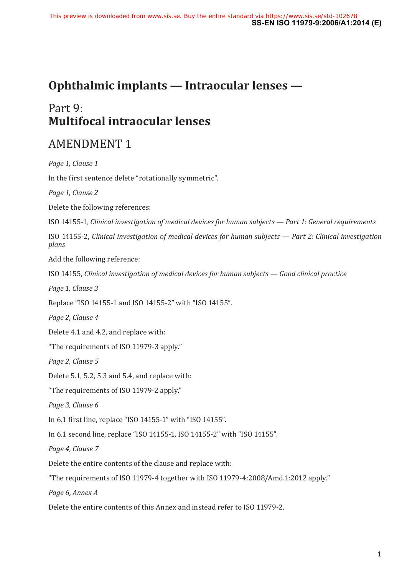### **Ophthalmic implants — Intraocular lenses —**

### Part 9: **Multifocal intraocular lenses**

### AMENDMENT 1

*Page 1, Clause 1* In the first sentence delete "rotationally symmetric". *Page 1, Clause 2* Delete the following references: ISO 14155‑1, *Clinical investigation of medical devices for human subjects — Part 1: General requirements* ISO 14155‑2, *Clinical investigation of medical devices for human subjects — Part 2: Clinical investigation plans* Add the following reference: ISO 14155, *Clinical investigation of medical devices for human subjects — Good clinical practice Page 1, Clause 3* Replace "ISO 14155‑1 and ISO 14155‑2" with "ISO 14155". *Page 2, Clause 4* Delete 4.1 and 4.2, and replace with: "The requirements of ISO 11979‑3 apply." *Page 2, Clause 5* Delete 5.1, 5.2, 5.3 and 5.4, and replace with: "The requirements of ISO 11979‑2 apply." *Page 3, Clause 6* In 6.1 first line, replace "ISO 14155‑1" with "ISO 14155". In 6.1 second line, replace "ISO 14155‑1, ISO 14155‑2" with "ISO 14155". *Page 4, Clause 7* Delete the entire contents of the clause and replace with: "The requirements of ISO 11979‑4 together with ISO 11979‑4:2008/Amd.1:2012 apply." *Page 6, Annex A* Delete the entire contents of this Annex and instead refer to ISO 11979-2.